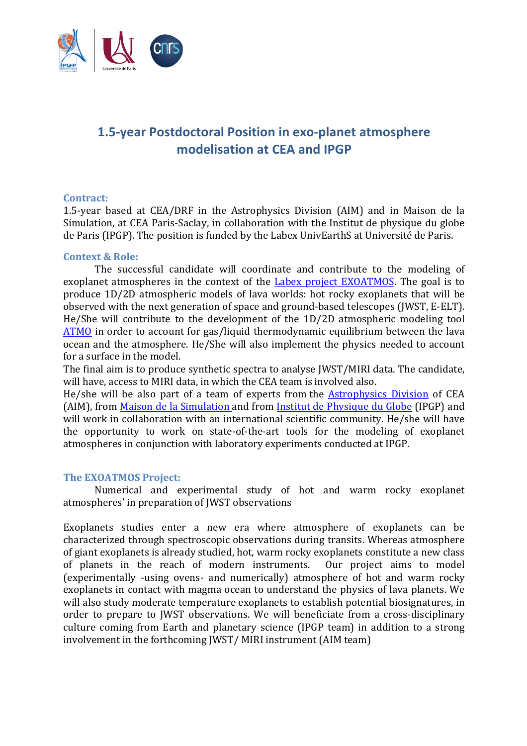

# **1.5-year Postdoctoral Position in exo-planet atmosphere modelisation** at CEA and IPGP

#### **Contract:**

1.5-year based at CEA/DRF in the Astrophysics Division (AIM) and in Maison de la Simulation, at CEA Paris-Saclay, in collaboration with the Institut de physique du globe de Paris (IPGP). The position is funded by the Labex UnivEarthS at Université de Paris.

#### **Context & Role:**

The successful candidate will coordinate and contribute to the modeling of exoplanet atmospheres in the context of the Labex project EXOATMOS. The goal is to produce 1D/2D atmospheric models of lava worlds: hot rocky exoplanets that will be observed with the next generation of space and ground-based telescopes (JWST, E-ELT). He/She will contribute to the development of the  $1D/2D$  atmospheric modeling tool ATMO in order to account for gas/liquid thermodynamic equilibrium between the lava ocean and the atmosphere. He/She will also implement the physics needed to account for a surface in the model.

The final aim is to produce synthetic spectra to analyse JWST/MIRI data. The candidate, will have, access to MIRI data, in which the CEA team is involved also.

He/she will be also part of a team of experts from the Astrophysics Division of CEA (AIM), from Maison de la Simulation and from Institut de Physique du Globe (IPGP) and will work in collaboration with an international scientific community. He/she will have the opportunity to work on state-of-the-art tools for the modeling of exoplanet atmospheres in conjunction with laboratory experiments conducted at IPGP.

#### **The EXOATMOS Project:**

Numerical and experimental study of hot and warm rocky exoplanet atmospheres' in preparation of JWST observations

Exoplanets studies enter a new era where atmosphere of exoplanets can be characterized through spectroscopic observations during transits. Whereas atmosphere of giant exoplanets is already studied, hot, warm rocky exoplanets constitute a new class of planets in the reach of modern instruments. Our project aims to model (experimentally -using ovens- and numerically) atmosphere of hot and warm rocky exoplanets in contact with magma ocean to understand the physics of lava planets. We will also study moderate temperature exoplanets to establish potential biosignatures, in order to prepare to JWST observations. We will beneficiate from a cross-disciplinary culture coming from Earth and planetary science (IPGP team) in addition to a strong involvement in the forthcoming [WST/ MIRI instrument (AIM team)